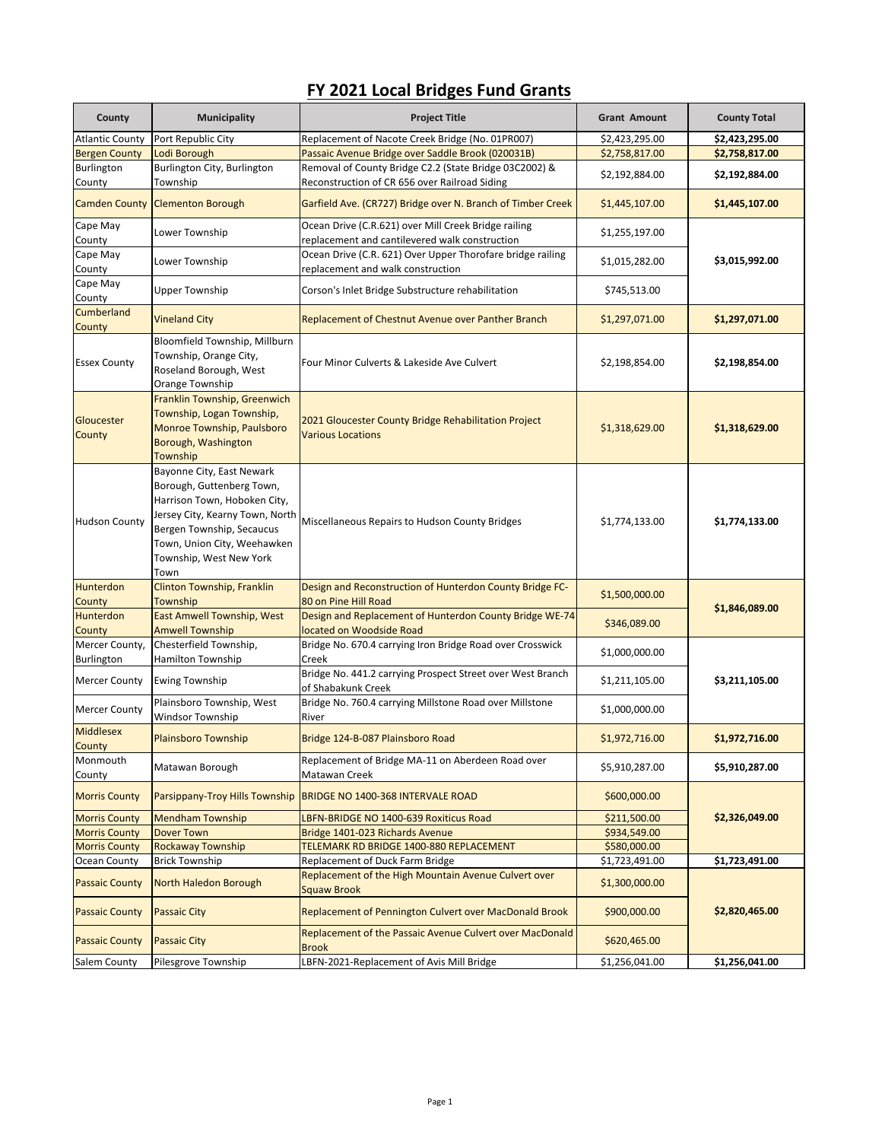## **FY 2021 Local Bridges Fund Grants**

| County                                | <b>Municipality</b>                                                                                                                                                                                                      | <b>Project Title</b>                                                                                    | <b>Grant Amount</b>              | <b>County Total</b> |
|---------------------------------------|--------------------------------------------------------------------------------------------------------------------------------------------------------------------------------------------------------------------------|---------------------------------------------------------------------------------------------------------|----------------------------------|---------------------|
| <b>Atlantic County</b>                | Port Republic City                                                                                                                                                                                                       | Replacement of Nacote Creek Bridge (No. 01PR007)                                                        | \$2,423,295.00                   | \$2,423,295.00      |
| <b>Bergen County</b>                  | Lodi Borough                                                                                                                                                                                                             | Passaic Avenue Bridge over Saddle Brook (020031B)                                                       | \$2,758,817.00                   | \$2,758,817.00      |
| Burlington<br>County                  | Burlington City, Burlington<br>Township                                                                                                                                                                                  | Removal of County Bridge C2.2 (State Bridge 03C2002) &<br>Reconstruction of CR 656 over Railroad Siding | \$2,192,884.00                   | \$2,192,884.00      |
| <b>Camden County</b>                  | <b>Clementon Borough</b>                                                                                                                                                                                                 | Garfield Ave. (CR727) Bridge over N. Branch of Timber Creek                                             | \$1,445,107.00                   | \$1,445,107.00      |
| Cape May<br>County                    | Lower Township                                                                                                                                                                                                           | Ocean Drive (C.R.621) over Mill Creek Bridge railing<br>replacement and cantilevered walk construction  | \$1,255,197.00                   |                     |
| Cape May<br>County                    | Lower Township                                                                                                                                                                                                           | Ocean Drive (C.R. 621) Over Upper Thorofare bridge railing<br>replacement and walk construction         | \$1,015,282.00                   | \$3,015,992.00      |
| Cape May<br>County                    | <b>Upper Township</b>                                                                                                                                                                                                    | Corson's Inlet Bridge Substructure rehabilitation                                                       | \$745,513.00                     |                     |
| Cumberland<br>County                  | <b>Vineland City</b>                                                                                                                                                                                                     | <b>Replacement of Chestnut Avenue over Panther Branch</b>                                               | \$1,297,071.00                   | \$1,297,071.00      |
| <b>Essex County</b>                   | Bloomfield Township, Millburn<br>Township, Orange City,<br>Roseland Borough, West<br>Orange Township                                                                                                                     | Four Minor Culverts & Lakeside Ave Culvert                                                              | \$2,198,854.00                   | \$2,198,854.00      |
| Gloucester<br>County                  | Franklin Township, Greenwich<br>Township, Logan Township,<br>Monroe Township, Paulsboro<br>Borough, Washington<br>Township                                                                                               | 2021 Gloucester County Bridge Rehabilitation Project<br><b>Various Locations</b>                        | \$1,318,629.00                   | \$1,318,629.00      |
| <b>Hudson County</b>                  | Bayonne City, East Newark<br>Borough, Guttenberg Town,<br>Harrison Town, Hoboken City,<br>Jersey City, Kearny Town, North<br>Bergen Township, Secaucus<br>Town, Union City, Weehawken<br>Township, West New York<br>Town | Miscellaneous Repairs to Hudson County Bridges                                                          | \$1,774,133.00                   | \$1,774,133.00      |
| Hunterdon                             | Clinton Township, Franklin                                                                                                                                                                                               | Design and Reconstruction of Hunterdon County Bridge FC-                                                | \$1,500,000.00                   |                     |
| County                                | Township                                                                                                                                                                                                                 | 80 on Pine Hill Road                                                                                    |                                  | \$1,846,089.00      |
| Hunterdon                             | <b>East Amwell Township, West</b>                                                                                                                                                                                        | Design and Replacement of Hunterdon County Bridge WE-74                                                 | \$346,089.00                     |                     |
| County                                | <b>Amwell Township</b>                                                                                                                                                                                                   | located on Woodside Road                                                                                |                                  |                     |
| Mercer County,<br>Burlington          | Chesterfield Township,<br>Hamilton Township                                                                                                                                                                              | Bridge No. 670.4 carrying Iron Bridge Road over Crosswick<br>Creek                                      | \$1,000,000.00                   |                     |
| <b>Mercer County</b>                  | <b>Ewing Township</b>                                                                                                                                                                                                    | Bridge No. 441.2 carrying Prospect Street over West Branch<br>of Shabakunk Creek                        | \$1,211,105.00                   | \$3,211,105.00      |
| <b>Mercer County</b>                  | Plainsboro Township, West<br><b>Windsor Township</b>                                                                                                                                                                     | Bridge No. 760.4 carrying Millstone Road over Millstone<br>River                                        | \$1,000,000.00                   |                     |
| <b>Middlesex</b><br>County            | <b>Plainsboro Township</b>                                                                                                                                                                                               | Bridge 124-B-087 Plainsboro Road                                                                        | \$1,972,716.00                   | \$1,972,716.00      |
| Monmouth<br>County                    | Matawan Borough                                                                                                                                                                                                          | Replacement of Bridge MA-11 on Aberdeen Road over<br>Matawan Creek                                      | \$5,910,287.00                   | \$5,910,287.00      |
| <b>Morris County</b>                  |                                                                                                                                                                                                                          | Parsippany-Troy Hills Township   BRIDGE NO 1400-368 INTERVALE ROAD                                      | \$600,000.00                     | \$2,326,049.00      |
| <b>Morris County</b>                  | <b>Mendham Township</b>                                                                                                                                                                                                  | LBFN-BRIDGE NO 1400-639 Roxiticus Road                                                                  | \$211,500.00                     |                     |
| <b>Morris County</b>                  | <b>Dover Town</b>                                                                                                                                                                                                        | Bridge 1401-023 Richards Avenue                                                                         | \$934,549.00                     |                     |
| <b>Morris County</b>                  | <b>Rockaway Township</b>                                                                                                                                                                                                 | TELEMARK RD BRIDGE 1400-880 REPLACEMENT                                                                 | \$580,000.00                     |                     |
| Ocean County<br><b>Passaic County</b> | <b>Brick Township</b><br>North Haledon Borough                                                                                                                                                                           | Replacement of Duck Farm Bridge<br>Replacement of the High Mountain Avenue Culvert over<br>Squaw Brook  | \$1,723,491.00<br>\$1,300,000.00 | \$1,723,491.00      |
| <b>Passaic County</b>                 | <b>Passaic City</b>                                                                                                                                                                                                      | Replacement of Pennington Culvert over MacDonald Brook                                                  | \$900,000.00                     | \$2,820,465.00      |
| <b>Passaic County</b>                 | <b>Passaic City</b>                                                                                                                                                                                                      | Replacement of the Passaic Avenue Culvert over MacDonald<br><b>Brook</b>                                | \$620,465.00                     |                     |
| Salem County                          | Pilesgrove Township                                                                                                                                                                                                      | LBFN-2021-Replacement of Avis Mill Bridge                                                               | \$1,256,041.00                   | \$1,256,041.00      |